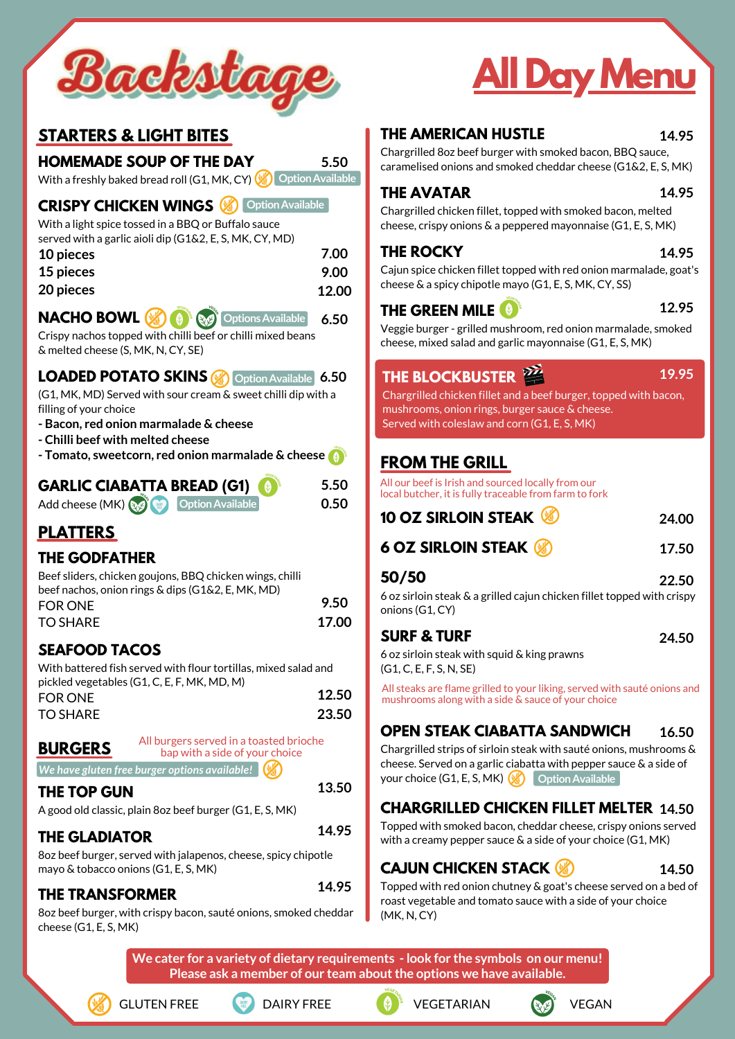#### **STARTERS & LIGHT BITES**

#### **HOMEMADE SOUP OF THE DAY**

**CRISPY CHICKEN WINGS**

With a light spice tossed in a BBQ or Buffalo sauce served with a garlic aioli dip (G1&2, E, S, MK, CY, MD)

Crispy nachos topped with chilli beef or chilli mixed beans & melted cheese (S, MK, N, CY, SE)

 $\bigcirc$ 

#### **LOADED POTATO SKINS**

(G1, MK, MD) Served with sour cream & sweet chilli dip with a filling of your choice

- **- Bacon, red onion marmalade & cheese**
- **- Chilli beef with melted cheese**

**- Tomato, sweetcorn, red onion marmalade & cheese**

# **PLATTERS**

#### **THE GODFATHER**

| 10 pieces        | 7.00  |
|------------------|-------|
| <b>15 pieces</b> | 9.00  |
| 20 pieces        | 12.00 |

图像

**NACHO BOWL** 

#### **SEAFOOD TACOS**

TO SHARE

**BURGERS**

#### **THE TOP GUN**

A good old classic, plain 8oz beef burger (G1, E, S, MK)

# **THE GLADIATOR**

8oz beef burger, served with jalapenos, cheese, spicy chipotle mayo & tobacco onions (G1, E, S, MK)

**5.50**

#### **5.50 0.50**

#### **THE AMERICAN HUSTLE**

With a freshly baked bread roll (G1, MK, CY) **OptionAvailable** Chargrilled 8oz beef burger with smoked bacon, BBQ sauce, caramelised onions and smoked cheddar cheese (G1&2, E, S, MK)

#### **THE AVATAR**

Chargrilled chicken fillet, topped with smoked bacon, melted cheese, crispy onions & a peppered mayonnaise (G1, E, S, MK)

#### **THE ROCKY**

Cajun spice chicken fillet topped with red onion marmalade, goat's cheese & a spicy chipotle mayo (G1, E, S, MK, CY, SS)

# **THE GREEN MILE**

Veggie burger - grilled mushroom, red onion marmalade, smoked cheese, mixed salad and garlic mayonnaise (G1, E, S, MK)

Beef sliders, chicken goujons, BBQ chicken wings, chilli beef nachos, onion rings & dips (G1&2, E, MK, MD) FOR ONE TO SHARE **17.00**

#### **FROM THE GRILL**

| <b>10 OZ SIRLOIN STEAK &amp;</b> |
|----------------------------------|
|----------------------------------|

**6 OZ SIRLOIN STEAK**

With battered fish served with flour tortillas, mixed salad and pickled vegetables (G1, C, E, F, MK, MD, M) FOR ONE **12.50**

#### **50/50**

6 oz sirloin steak & a grilled cajun chicken fillet topped with crispy onions (G1, CY)

#### **SURF & TURF**

6 oz sirloin steak with squid & king prawns (G1, C, E, F, S, N, SE)

#### **GARLIC CIABATTA BREAD (G1)** Add cheese (MK) **OptionAvailable**



Topped with smoked bacon, cheddar cheese, crispy onions served with a creamy pepper sauce & a side of your choice (G1, MK)

#### **CAJUN CHICKEN STACK**

Topped with red onion chutney & goat's cheese served on a bed of roast vegetable and tomato sauce with a side of your choice (MK, N, CY)



# **AllDayMenu**

**We cater for a variety of dietary requirements - look for the symbols on our menu! Please ask a member of our team aboutthe options we have available.**



#### **OPEN STEAK CIABATTA SANDWICH 16.50**

Chargrilled strips of sirloin steak with sauté onions, mushrooms & cheese. Served on a garlic ciabatta with pepper sauce & a side of your choice (G1, E, S, MK) ( **OptionAvailable**

**13.50**

**14.95**

**14.95**

#### **CHARGRILLED CHICKEN FILLET MELTER 14.50**

All burgers served in a toasted brioche bap with a side of your choice

**9.50**

**23.50**





All steaks are flame grilled to your liking, served with sauté onions and mushrooms along with a side & sauce of your choice

All our beef is Irish and sourced locally from our local butcher, it is fully traceable from farm to fork

#### **THE TRANSFORMER**

8oz beef burger, with crispy bacon, sauté onions, smoked cheddar cheese (G1, E, S, MK)

**14.95**

**14.95**

**14.95**

**12.95**

**19.95**



**17.50**

**22.50**

**24.50**

**14.50**

**OptionAvailable**



*We have gluten free burger options available!*

# **THE BLOCKBUSTER**

Chargrilled chicken fillet and a beef burger, topped with bacon, mushrooms, onion rings, burger sauce & cheese. Served with coleslaw and corn (G1, E, S, MK)